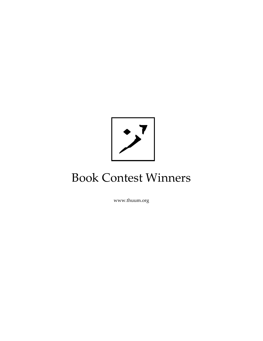

# Book Contest Winners

www.thuum.org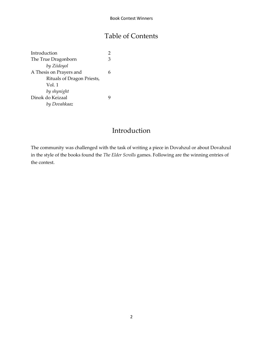## Table of Contents

Introduction 2 The True Dragonborn 3 *by Ziidoyol* A Thesis on Prayers and 6 Rituals of Dragon Priests, Vol. 1 *by shynight* Dinok do Keizaal 9 *by Dovahkaaz*

## Introduction

The community was challenged with the task of writing a piece in Dovahzul or about Dovahzul in the style of the books found the *The Elder Scrolls* games. Following are the winning entries of the contest.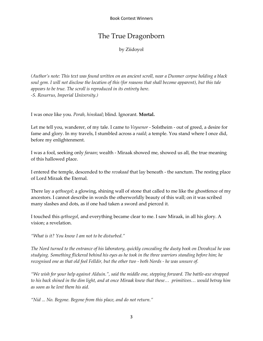## The True Dragonborn

by Ziidoyol

*(Author's note: This text was found written on an ancient scroll, near a Dunmer corpse holding a black soul gem. I will not disclose the location of this (for reasons that shall become apparent), but this tale appears to be true. The scroll is reproduced in its entirety here. -S. Resurrus, Imperial University.)*

I was once like you. *Porah, hinskaal*; blind. Ignorant. **Mortal.**

Let me tell you, wanderer, of my tale. I came to *Veysenor* - Solstheim - out of greed, a desire for fame and glory. In my travels, I stumbled across a *raald*; a temple. You stand where I once did, before my enlightenment.

I was a fool, seeking only *faraan*; wealth - Miraak showed me, showed us all, the true meaning of this hallowed place.

I entered the temple, descended to the *revakaad* that lay beneath - the sanctum. The resting place of Lord Miraak the Eternal.

There lay a *qethsegol*; a glowing, shining wall of stone that called to me like the ghostfence of my ancestors. I cannot describe in words the otherworldly beauty of this wall; on it was scribed many slashes and dots, as if one had taken a sword and pierced it.

I touched this *qethsegol*, and everything became clear to me. I saw Miraak, in all his glory. A vision; a revelation.

*"What is it? You know I am not to be disturbed."* 

*The Nord turned to the entrance of his laboratory, quickly concealing the dusty book on Dovahzul he was studying. Something flickered behind his eyes as he took in the three warriors standing before him; he recognised one as that old fool Felldir, but the other two - both Nords - he was unsure of.*

*"We wish for your help against Alduin.", said the middle one, stepping forward. The battle-axe strapped to his back shined in the dim light, and at once Miraak knew that these… primitives… would betray him as soon as he lent them his aid.*

*"Nid ... No. Begone. Begone from this place, and do not return."*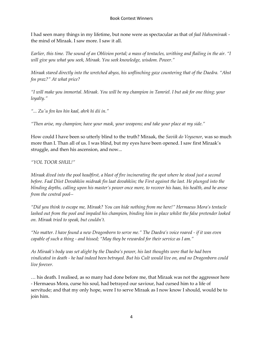I had seen many things in my lifetime, but none were as spectacular as that of *faal Hahsemiraak* the mind of Miraak. I saw more. I saw it all.

*Earlier, this time. The sound of an Oblivion portal; a mass of tentacles, writhing and flailing in the air. "I will give you what you seek, Miraak. You seek knowledge, wisdom. Power."*

*Miraak stared directly into the wretched abyss, his unflinching gaze countering that of the Daedra. "Ahst fos praz?" At what price?*

*"I will make you immortal. Miraak. You will be my champion in Tamriel. I but ask for one thing; your loyalty."*

*"... Zu'u fen kos hin kaal, ahrk hi dii in."*

*"Then arise, my champion; have your mask, your weapons; and take your place at my side."*

How could I have been so utterly blind to the truth? Miraak, the *Saviik do Veysenor*, was so much more than I. Than all of us. I was blind, but my eyes have been opened. I saw first Miraak's struggle, and then his ascension, and now...

#### *"YOL TOOR SHUL!"*

*Miraak dived into the pool headfirst, a blast of fire incinerating the spot where he stood just a second before. Faal Diist Dovahkiin midraak fin laat dovahkiin; the First against the last. He plunged into the blinding depths, calling upon his master's power once more, to recover his haas, his health, and he arose from the central pool--*

*"Did you think to escape me, Miraak? You can hide nothing from me here!" Hermaeus Mora's tentacle lashed out from the pool and impaled his champion, binding him in place whilst the false pretender looked on. Miraak tried to speak, but couldn't.*

"No matter. I have found a new Dragonborn to serve me." The Daedra's voice roared - if it was even *capable of such a thing - and hissed; "May they be rewarded for their service as I am."*

*As Miraak's body was set alight by the Daedra's power, his last thoughts were that he had been vindicated in death - he had indeed been betrayed. But his Cult would live on, and no Dragonborn could live forever.*

… his death. I realised, as so many had done before me, that Miraak was not the aggressor here - Hermaeus Mora, curse his soul, had betrayed our saviour, had cursed him to a life of servitude; and that my only hope, were I to serve Miraak as I now know I should, would be to join him.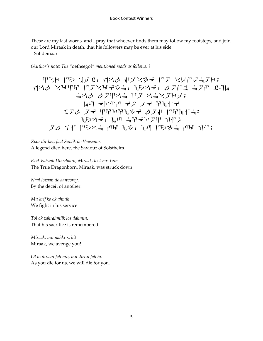These are my last words, and I pray that whoever finds them may follow my footsteps, and join our Lord Miraak in death, that his followers may be ever at his side. --Sahdeinaar

*(Author's note: The "*qethsegol*" mentioned reads as follows: )*

$$
F[\mathcal{F}(\mathcal{F}_{\mathcal{F}})] = \mathcal{F}(\mathcal{F}_{\mathcal{F}}) = \mathcal{F}(\mathcal{F}_{\mathcal{F}}) = \mathcal{F}(\mathcal{F}_{\mathcal{F}}) = \mathcal{F}(\mathcal{F}_{\mathcal{F}}) = \mathcal{F}(\mathcal{F}_{\mathcal{F}}) = \mathcal{F}(\mathcal{F}_{\mathcal{F}}) = \mathcal{F}(\mathcal{F}_{\mathcal{F}}) = \mathcal{F}(\mathcal{F}_{\mathcal{F}}) = \mathcal{F}(\mathcal{F}_{\mathcal{F}}) = \mathcal{F}(\mathcal{F}_{\mathcal{F}}) = \mathcal{F}(\mathcal{F}_{\mathcal{F}}) = \mathcal{F}(\mathcal{F}_{\mathcal{F}}) = \mathcal{F}(\mathcal{F}_{\mathcal{F}}) = \mathcal{F}(\mathcal{F}_{\mathcal{F}}) = \mathcal{F}(\mathcal{F}_{\mathcal{F}}) = \mathcal{F}(\mathcal{F}_{\mathcal{F}}) = \mathcal{F}(\mathcal{F}_{\mathcal{F}}) = \mathcal{F}(\mathcal{F}_{\mathcal{F}}) = \mathcal{F}(\mathcal{F}_{\mathcal{F}}) = \mathcal{F}(\mathcal{F}_{\mathcal{F}}) = \mathcal{F}(\mathcal{F}_{\mathcal{F}}) = \mathcal{F}(\mathcal{F}_{\mathcal{F}}) = \mathcal{F}(\mathcal{F}_{\mathcal{F}}) = \mathcal{F}(\mathcal{F}_{\mathcal{F}}) = \mathcal{F}(\mathcal{F}_{\mathcal{F}}) = \mathcal{F}(\mathcal{F}_{\mathcal{F}}) = \mathcal{F}(\mathcal{F}_{\mathcal{F}}) = \mathcal{F}(\mathcal{F}_{\mathcal{F}}) = \mathcal{F}(\mathcal{F}_{\mathcal{F}}) = \mathcal{F}(\mathcal{F}_{\mathcal{F}}) = \mathcal{F}(\mathcal{F}_{\mathcal{F}}) = \mathcal{F}(\mathcal{F}_{\mathcal{F}}) = \mathcal{F}(\mathcal{F}_{\mathcal{F}}) = \mathcal{F}(\mathcal{F}_{\mathcal{F}}) = \mathcal{F}(\mathcal{F}_{\mathcal{F}}) = \mathcal{F}(\mathcal{F}_{\mathcal{F}}) = \mathcal{F}(\mathcal{F}_{\mathcal{F}}
$$

*Zoor dir het, faal Saviik do Veysenor.* A legend died here, the Saviour of Solstheim.

*Faal Vahzah Dovahkiin, Miraak, lost nos tum* The True Dragonborn, Miraak, was struck down

*Naal lozaan do aanvorey.* By the deceit of another.

*Mu krif ko ok ahmik* We fight in his service

*Tol ok zahrahmiik los dahmin.* That his sacrifice is remembered.

*Miraak, mu nahkroz hi!* Miraak, we avenge you!

*Ol hi diraan fah mii, mu diriin fah hi.* As you die for us, we will die for you.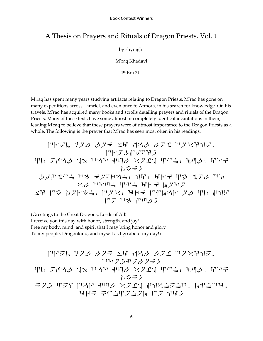### A Thesis on Prayers and Rituals of Dragon Priests, Vol. 1

by shynight

M'raq Khadavi

4 th Era 211

M'raq has spent many years studying artifacts relating to Dragon Priests. M'raq has gone on many expeditions across Tamriel, and even once to Atmora, in his search for knowledge. On his travels, M'raq has acquired many books and scrolls detailing prayers and rituals of the Dragon Priests. Many of these texts have some almost or completely identical incantations in them, leading M'raq to believe that these prayers were of utmost importance to the Dragon Priests as a whole. The following is the prayer that M'raq has seen most often in his readings.

$$
|\nabla F|_{\mathcal{V}} = \nabla F|_{\mathcal{V}} \nabla F|_{\mathcal{V}} \nabla F|_{\mathcal{V}} \nabla F|_{\mathcal{V}} \nabla F|_{\mathcal{V}} \nabla F|_{\mathcal{V}} \nabla F|_{\mathcal{V}} \nabla F|_{\mathcal{V}} \nabla F|_{\mathcal{V}} \nabla F|_{\mathcal{V}} \nabla F|_{\mathcal{V}} \nabla F|_{\mathcal{V}} \nabla F|_{\mathcal{V}} \nabla F|_{\mathcal{V}} \nabla F|_{\mathcal{V}} \nabla F|_{\mathcal{V}} \nabla F|_{\mathcal{V}} \nabla F|_{\mathcal{V}} \nabla F|_{\mathcal{V}} \nabla F|_{\mathcal{V}} \nabla F|_{\mathcal{V}} \nabla F|_{\mathcal{V}} \nabla F|_{\mathcal{V}} \nabla F|_{\mathcal{V}} \nabla F|_{\mathcal{V}} \nabla F|_{\mathcal{V}} \nabla F|_{\mathcal{V}} \nabla F|_{\mathcal{V}} \nabla F|_{\mathcal{V}} \nabla F|_{\mathcal{V}} \nabla F|_{\mathcal{V}} \nabla F|_{\mathcal{V}} \nabla F|_{\mathcal{V}} \nabla F|_{\mathcal{V}} \nabla F|_{\mathcal{V}} \nabla F|_{\mathcal{V}} \nabla F|_{\mathcal{V}} \nabla F|_{\mathcal{V}} \nabla F|_{\mathcal{V}} \nabla F|_{\mathcal{V}} \nabla F|_{\mathcal{V}} \nabla F|_{\mathcal{V}} \nabla F|_{\mathcal{V}} \nabla F|_{\mathcal{V}} \nabla F|_{\mathcal{V}} \nabla F|_{\mathcal{V}} \nabla F|_{\mathcal{V}} \nabla F|_{\mathcal{V}} \nabla F|_{\mathcal{V}} \nabla F|_{\mathcal{V}} \nabla F|_{\mathcal{V}} \nabla F|_{\mathcal{V}} \nabla F|_{\mathcal{V}} \nabla F|_{\mathcal{V}} \nabla F|_{\mathcal{V}} \nabla F|_{\mathcal{V}} \nabla F|_{\mathcal{V}} \nabla
$$

(Greetings to the Great Dragons, Lords of All! I receive you this day with honor, strength, and joy!

Free my body, mind, and spirit that I may bring honor and glory

To my people, Dragonkind, and myself as I go about my day!)

drem yol lok w4 f1l lot dov4he, drogselok! Z5 of1l h2 d1r sul voth zin, mul, 4rk j3k! kog zey d1r sul voth sh1nend, mind4, 4rk kinzonom do h4!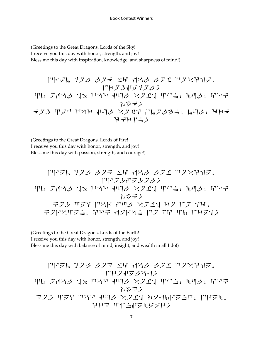(Greetings to the Great Dragons, Lords of the Sky! I receive you this day with honor, strength, and joy! Bless me this day with inspiration, knowledge, and sharpness of mind!)

$$
|\nabla \cdot \nabla \cdot \nabla \cdot \nabla \cdot \nabla \cdot \nabla \cdot \nabla \cdot \nabla \cdot \nabla \cdot \nabla \cdot \nabla \cdot \nabla \cdot \nabla \cdot \nabla \cdot \nabla \cdot \nabla \cdot \nabla \cdot \nabla \cdot \nabla \cdot \nabla \cdot \nabla \cdot \nabla \cdot \nabla \cdot \nabla \cdot \nabla \cdot \nabla \cdot \nabla \cdot \nabla \cdot \nabla \cdot \nabla \cdot \nabla \cdot \nabla \cdot \nabla \cdot \nabla \cdot \nabla \cdot \nabla \cdot \nabla \cdot \nabla \cdot \nabla \cdot \nabla \cdot \nabla \cdot \nabla \cdot \nabla \cdot \nabla \cdot \nabla \cdot \nabla \cdot \nabla \cdot \nabla \cdot \nabla \cdot \nabla \cdot \nabla \cdot \nabla \cdot \nabla \cdot \nabla \cdot \nabla \cdot \nabla \cdot \nabla \cdot \nabla \cdot \nabla \cdot \nabla \cdot \nabla \cdot \nabla \cdot \nabla \cdot \nabla \cdot \nabla \cdot \nabla \cdot \nabla \cdot \nabla \cdot \nabla \cdot \nabla \cdot \nabla \cdot \nabla \cdot \nabla \cdot \nabla \cdot \nabla \cdot \nabla \cdot \nabla \cdot \nabla \cdot \nabla \cdot \nabla \cdot \nabla \cdot \nabla \cdot \nabla \cdot \nabla \cdot \nabla \cdot \nabla \cdot \nabla \cdot \nabla \cdot \nabla \cdot \nabla \cdot \nabla \cdot \nabla \cdot \nabla \cdot \nabla \cdot \nabla \cdot \nabla \cdot \nabla \cdot \nabla \cdot \nabla \cdot \nabla \cdot \nabla \cdot \nabla \cdot \nabla \cdot \nabla \cdot \nabla \cdot \nabla \cdot \nabla \cdot \nabla \cdot \nabla \cdot \nabla \cdot \nabla \cdot \nabla \cdot \nabla \cdot \nabla \cdot \nabla \cdot \nabla \cdot \nabla \cdot \nabla \cdot \nabla \cdot \nabla \cdot \nabla \cdot \nabla \cdot \nabla \cdot \nabla \cdot \nabla \cdot \nabla \cdot \nab
$$

(Greetings to the Great Dragons, Lords of Fire! I receive you this day with honor, strength, and joy! Bless me this day with passion, strength, and courage!)

$$
|T|\nabla \times \mathbf{F} \leq \mathbf{F} \leq \mathbf{F} \leq \mathbf{F} \leq \mathbf{F} \leq \mathbf{F} \leq \mathbf{F} \leq \mathbf{F} \leq \mathbf{F} \leq \mathbf{F} \leq \mathbf{F} \leq \mathbf{F} \leq \mathbf{F} \leq \mathbf{F} \leq \mathbf{F} \leq \mathbf{F} \leq \mathbf{F} \leq \mathbf{F} \leq \mathbf{F} \leq \mathbf{F} \leq \mathbf{F} \leq \mathbf{F} \leq \mathbf{F} \leq \mathbf{F} \leq \mathbf{F} \leq \mathbf{F} \leq \mathbf{F} \leq \mathbf{F} \leq \mathbf{F} \leq \mathbf{F} \leq \mathbf{F} \leq \mathbf{F} \leq \mathbf{F} \leq \mathbf{F} \leq \mathbf{F} \leq \mathbf{F} \leq \mathbf{F} \leq \mathbf{F} \leq \mathbf{F} \leq \mathbf{F} \leq \mathbf{F} \leq \mathbf{F} \leq \mathbf{F} \leq \mathbf{F} \leq \mathbf{F} \leq \mathbf{F} \leq \mathbf{F} \leq \mathbf{F} \leq \mathbf{F} \leq \mathbf{F} \leq \mathbf{F} \leq \mathbf{F} \leq \mathbf{F} \leq \mathbf{F} \leq \mathbf{F} \leq \mathbf{F} \leq \mathbf{F} \leq \mathbf{F} \leq \mathbf{F} \leq \mathbf{F} \leq \mathbf{F} \leq \mathbf{F} \leq \mathbf{F} \leq \mathbf{F} \leq \mathbf{F} \leq \mathbf{F} \leq \mathbf{F} \leq \mathbf{F} \leq \mathbf{F} \leq \mathbf{F} \leq \mathbf{F} \leq \mathbf{F} \leq \mathbf{F} \leq \mathbf{F} \leq \mathbf{F} \leq \mathbf{F} \leq \mathbf{F} \leq \mathbf{F} \leq \mathbf{F} \leq \mathbf{F} \leq \mathbf{F} \leq \mathbf{F} \leq \mathbf{F} \leq \mathbf{
$$

(Greetings to the Great Dragons, Lords of the Earth! I receive you this day with honor, strength, and joy! Bless me this day with balance of mind, insight, and wealth in all I do!)

$$
|\nabla \nabla \cdot \mathbf{V}| \nabla \cdot \nabla \cdot \nabla \cdot \nabla \cdot \nabla \cdot \nabla \cdot \mathbf{V}|
$$
\n
$$
|\nabla \cdot \mathbf{V}| \nabla \cdot \mathbf{V}| \nabla \cdot \mathbf{V}|
$$
\n
$$
|\nabla \cdot \mathbf{V}| \nabla \cdot \mathbf{V}|
$$
\n
$$
|\nabla \cdot \mathbf{V}| \nabla \cdot \mathbf{V}|
$$
\n
$$
|\nabla \cdot \mathbf{V}| \nabla \cdot \mathbf{V}|
$$
\n
$$
|\nabla \cdot \mathbf{V}| \nabla \cdot \mathbf{V}|
$$
\n
$$
|\nabla \cdot \mathbf{V}| \nabla \cdot \mathbf{V}|
$$
\n
$$
|\nabla \cdot \mathbf{V}| \nabla \cdot \mathbf{V}|
$$
\n
$$
|\nabla \cdot \mathbf{V}| \nabla \cdot \mathbf{V}|
$$
\n
$$
|\nabla \cdot \mathbf{V}| \nabla \cdot \mathbf{V}|
$$
\n
$$
|\nabla \cdot \mathbf{V}| \nabla \cdot \mathbf{V}|
$$
\n
$$
|\nabla \cdot \mathbf{V}| \nabla \cdot \mathbf{V}|
$$
\n
$$
|\nabla \cdot \mathbf{V}| \nabla \cdot \mathbf{V}|
$$
\n
$$
|\nabla \cdot \mathbf{V}| \nabla \cdot \mathbf{V}|
$$
\n
$$
|\nabla \cdot \mathbf{V}| \nabla \cdot \mathbf{V}|
$$
\n
$$
|\nabla \cdot \mathbf{V}| \nabla \cdot \mathbf{V}|
$$
\n
$$
|\nabla \cdot \mathbf{V}| \nabla \cdot \mathbf{V}|
$$
\n
$$
|\nabla \cdot \mathbf{V}| \nabla \cdot \mathbf{V}|
$$
\n
$$
|\nabla \cdot \mathbf{V}| \nabla \cdot \mathbf{V}|
$$
\n
$$
|\nabla \cdot \mathbf{V}| \nabla \cdot \mathbf{V}|
$$
\n
$$
|\nabla \cdot \mathbf{V}| \nabla \cdot \mathbf{V}|
$$
\n<math display="block</math>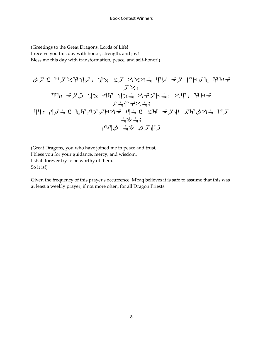(Greetings to the Great Dragons, Lords of Life! I receive you this day with honor, strength, and joy! Bless me this day with transformation, peace, and self-honor!)

$$
\diamond
$$
 }\n $\diamond$  }\n $\diamond$  }\n $\diamond$  }\n $\diamond$  }\n $\diamond$  }\n $\diamond$  }\n $\diamond$  }\n $\diamond$  }\n $\diamond$  }\n $\diamond$  }\n $\diamond$  }\n $\diamond$  }\n $\diamond$  }\n $\diamond$  }\n $\diamond$  }\n $\diamond$  }\n $\diamond$  }\n $\diamond$  }\n $\diamond$  }\n $\diamond$  }\n $\diamond$  }\n $\diamond$  }\n $\diamond$  }\n $\diamond$  }\n $\diamond$  }\n $\diamond$  }\n $\diamond$  }\n $\diamond$  }\n $\diamond$  }\n $\diamond$  }\n $\diamond$  }\n $\diamond$  }\n $\diamond$  }\n $\diamond$  }\n $\diamond$  }\n $\diamond$  }\n $\diamond$  }\n $\diamond$  }\n $\diamond$  }\n $\diamond$  }\n $\diamond$  }\n $\diamond$  }\n $\diamond$  }\n $\diamond$  }\n $\diamond$  }\n $\diamond$  }\n $\diamond$  }\n $\diamond$  }\n $\diamond$  }\n $\diamond$  }\n $\diamond$  }\n $\diamond$  }\n $\diamond$  }\n $\diamond$  }\n $\diamond$  }\n $\diamond$  }\n $\diamond$  }\n $\diamond$  }\n $\diamond$  }\n $\diamond$  }\n $\diamond$  }\n $\diamond$  }\n $\diamond$  }\n $\diamond$  }\n $\diamond$  }\n $\diamond$  }\n $\diamond$  }\n $\diamond$  }\n $\diamond$  }\n $\diamond$  }\n $\diamond$  }\n $\diamond$  }\n $\diamond$  }\n $\diamond$  }\n $\diamond$  }\n $\diamond$  }\n $\diamond$  }\n $\diamond$  }\n $\diamond$  }\n $\diamond$  }\n $\diamond$  }\n $\diamond$  }\n $\diamond$  }\n $\diamond$  }\n

(Great Dragons, you who have joined me in peace and trust, I bless you for your guidance, mercy, and wisdom. I shall forever try to be worthy of them. So it is!)

Given the frequency of this prayer's occurrence, M'raq believes it is safe to assume that this was at least a weekly prayer, if not more often, for all Dragon Priests.